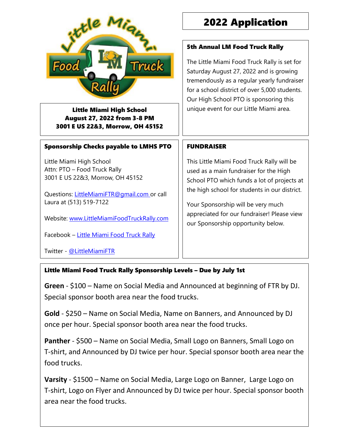

Little Miami High School August 27, 2022 from 3-8 PM 3001 E US 22&3, Morrow, OH 45152

#### Sponsorship Checks payable to LMHS PTO

Little Miami High School Attn: PTO – Food Truck Rally 3001 E US 22&3, Morrow, OH 45152

Questions: [LittleMiamiFTR@gmail.com](mailto:LittleMiamiFTR@gmail.com) or call Laura at (513) 519-7122

Website: [www.LittleMiamiFoodTruckRally.com](http://www.littlemiamifoodtruckrally.com/)

Facebook – [Little Miami Food Truck Rally](file:///C:/Cindy/schoollevy/Food%20Rally/facebook.com/LittleMiamiFTR)

Twitter - [@LittleMiamiFTR](file:///C:/Cindy/schoollevy/Food%20Rally/twitter.com/littlemiamiftr)

## 2022 Application

#### 5th Annual LM Food Truck Rally

The Little Miami Food Truck Rally is set for Saturday August 27, 2022 and is growing tremendously as a regular yearly fundraiser for a school district of over 5,000 students. Our High School PTO is sponsoring this unique event for our Little Miami area.

#### FUNDRAISER

This Little Miami Food Truck Rally will be used as a main fundraiser for the High School PTO which funds a lot of projects at the high school for students in our district.

Your Sponsorship will be very much appreciated for our fundraiser! Please view our Sponsorship opportunity below.

#### Little Miami Food Truck Rally Sponsorship Levels – Due by July 1st

**Green** - \$100 – Name on Social Media and Announced at beginning of FTR by DJ. Special sponsor booth area near the food trucks.

**Gold** - \$250 – Name on Social Media, Name on Banners, and Announced by DJ once per hour. Special sponsor booth area near the food trucks.

**Panther** - \$500 – Name on Social Media, Small Logo on Banners, Small Logo on T-shirt, and Announced by DJ twice per hour. Special sponsor booth area near the food trucks.

**Varsity** - \$1500 – Name on Social Media, Large Logo on Banner, Large Logo on T-shirt, Logo on Flyer and Announced by DJ twice per hour. Special sponsor booth area near the food trucks.